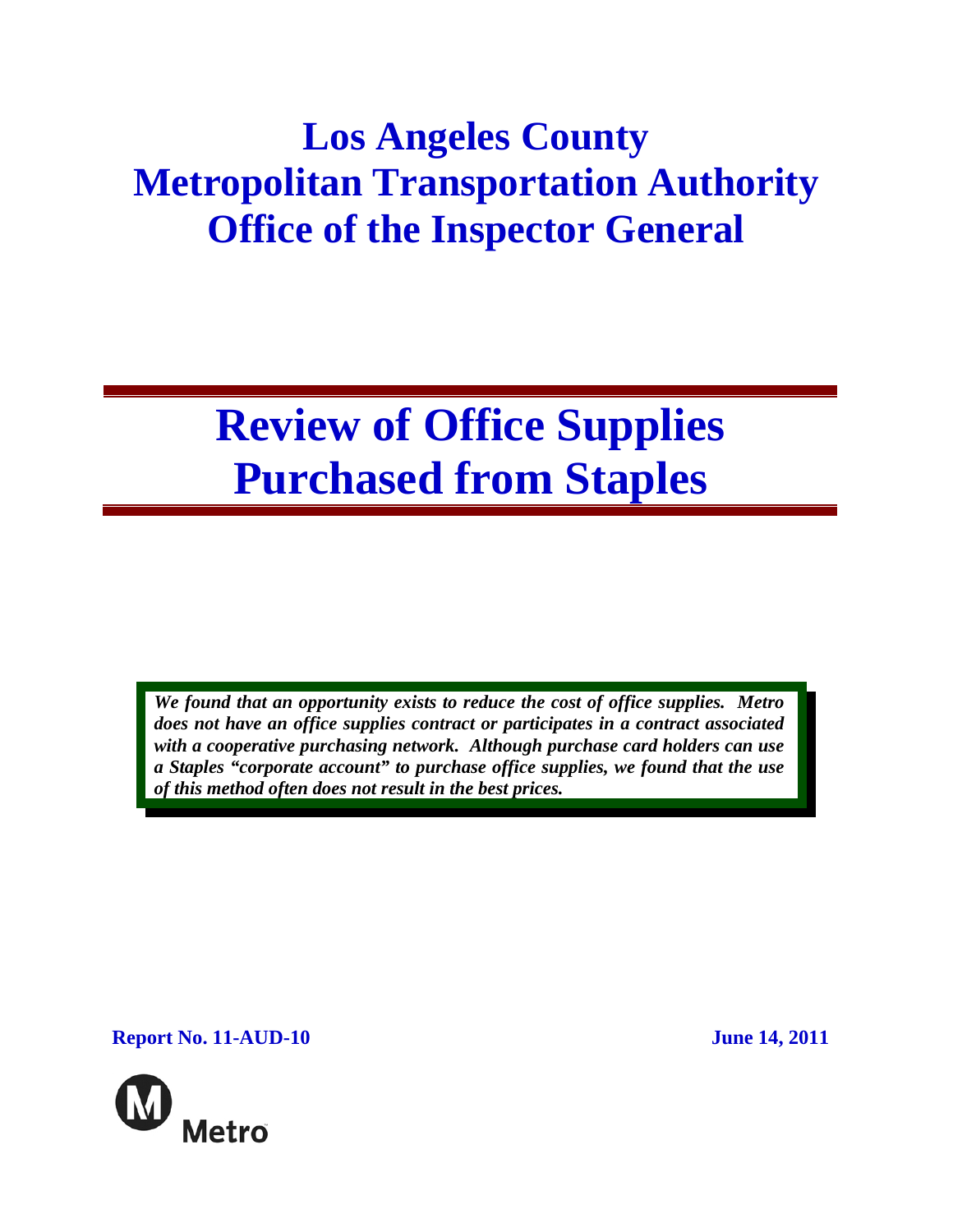# **Los Angeles County Metropolitan Transportation Authority Office of the Inspector General**

# **Review of Office Supplies Purchased from Staples**

*We found that an opportunity exists to reduce the cost of office supplies. Metro does not have an office supplies contract or participates in a contract associated with a cooperative purchasing network. Although purchase card holders can use a Staples "corporate account" to purchase office supplies, we found that the use of this method often does not result in the best prices.* 

**Report No. 11-AUD-10** June 14, 2011

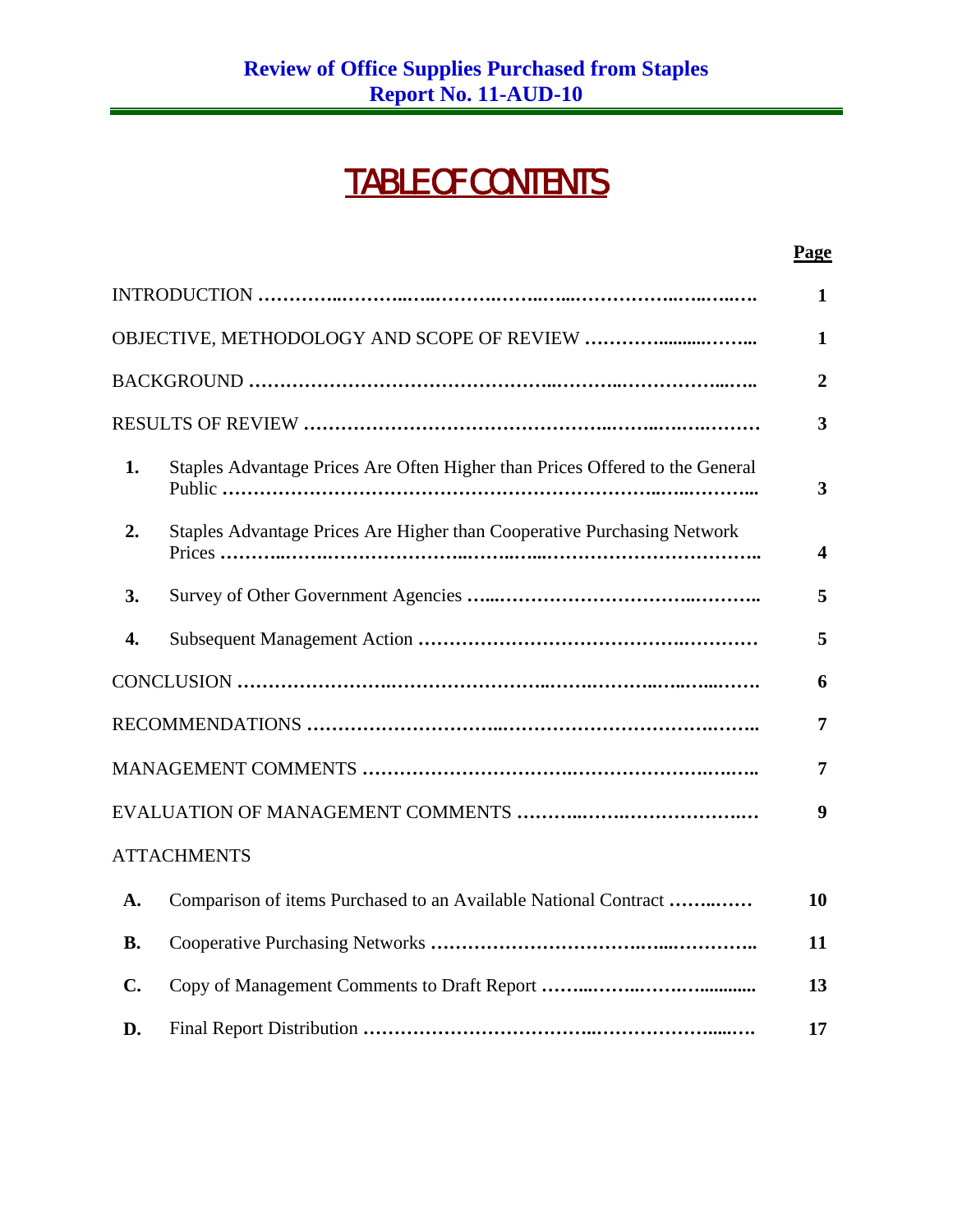## TABLE OF CONTENTS

|                                                                                    | Page                    |
|------------------------------------------------------------------------------------|-------------------------|
|                                                                                    | $\mathbf{1}$            |
|                                                                                    | $\mathbf{1}$            |
|                                                                                    | $\overline{2}$          |
|                                                                                    | $\overline{\mathbf{3}}$ |
| Staples Advantage Prices Are Often Higher than Prices Offered to the General<br>1. | $\overline{3}$          |
| Staples Advantage Prices Are Higher than Cooperative Purchasing Network<br>2.      | $\overline{\mathbf{4}}$ |
| 3.                                                                                 | 5                       |
| $\overline{4}$ .                                                                   | 5                       |
|                                                                                    | 6                       |
|                                                                                    | $\overline{7}$          |
|                                                                                    | 7                       |
|                                                                                    | $\boldsymbol{9}$        |
| <b>ATTACHMENTS</b>                                                                 |                         |
| Comparison of items Purchased to an Available National Contract<br>A.              | 10                      |
| <b>B.</b>                                                                          | 11                      |
| $\mathbf{C}$ .                                                                     | 13                      |
| D.                                                                                 | 17                      |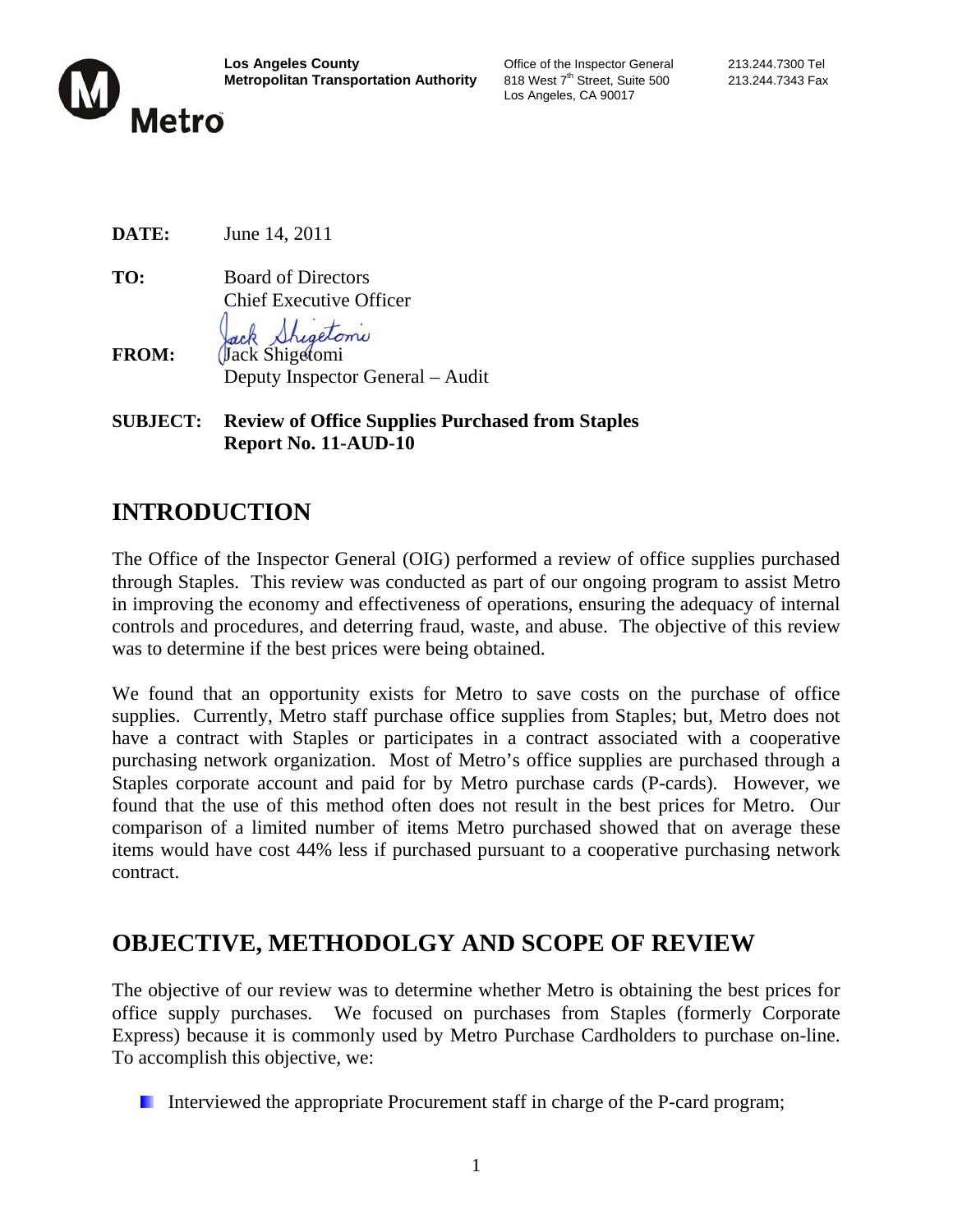

Los Angeles, CA 90017

**DATE:** June 14, 2011

**TO:** Board of Directors Chief Executive Officer

hisetomi **FROM:** *(Jack Shigetomi)* Deputy Inspector General – Audit

**SUBJECT: Review of Office Supplies Purchased from Staples Report No. 11-AUD-10** 

### **INTRODUCTION**

The Office of the Inspector General (OIG) performed a review of office supplies purchased through Staples. This review was conducted as part of our ongoing program to assist Metro in improving the economy and effectiveness of operations, ensuring the adequacy of internal controls and procedures, and deterring fraud, waste, and abuse. The objective of this review was to determine if the best prices were being obtained.

We found that an opportunity exists for Metro to save costs on the purchase of office supplies. Currently, Metro staff purchase office supplies from Staples; but, Metro does not have a contract with Staples or participates in a contract associated with a cooperative purchasing network organization. Most of Metro's office supplies are purchased through a Staples corporate account and paid for by Metro purchase cards (P-cards). However, we found that the use of this method often does not result in the best prices for Metro. Our comparison of a limited number of items Metro purchased showed that on average these items would have cost 44% less if purchased pursuant to a cooperative purchasing network contract.

### **OBJECTIVE, METHODOLGY AND SCOPE OF REVIEW**

The objective of our review was to determine whether Metro is obtaining the best prices for office supply purchases. We focused on purchases from Staples (formerly Corporate Express) because it is commonly used by Metro Purchase Cardholders to purchase on-line. To accomplish this objective, we:

Interviewed the appropriate Procurement staff in charge of the P-card program;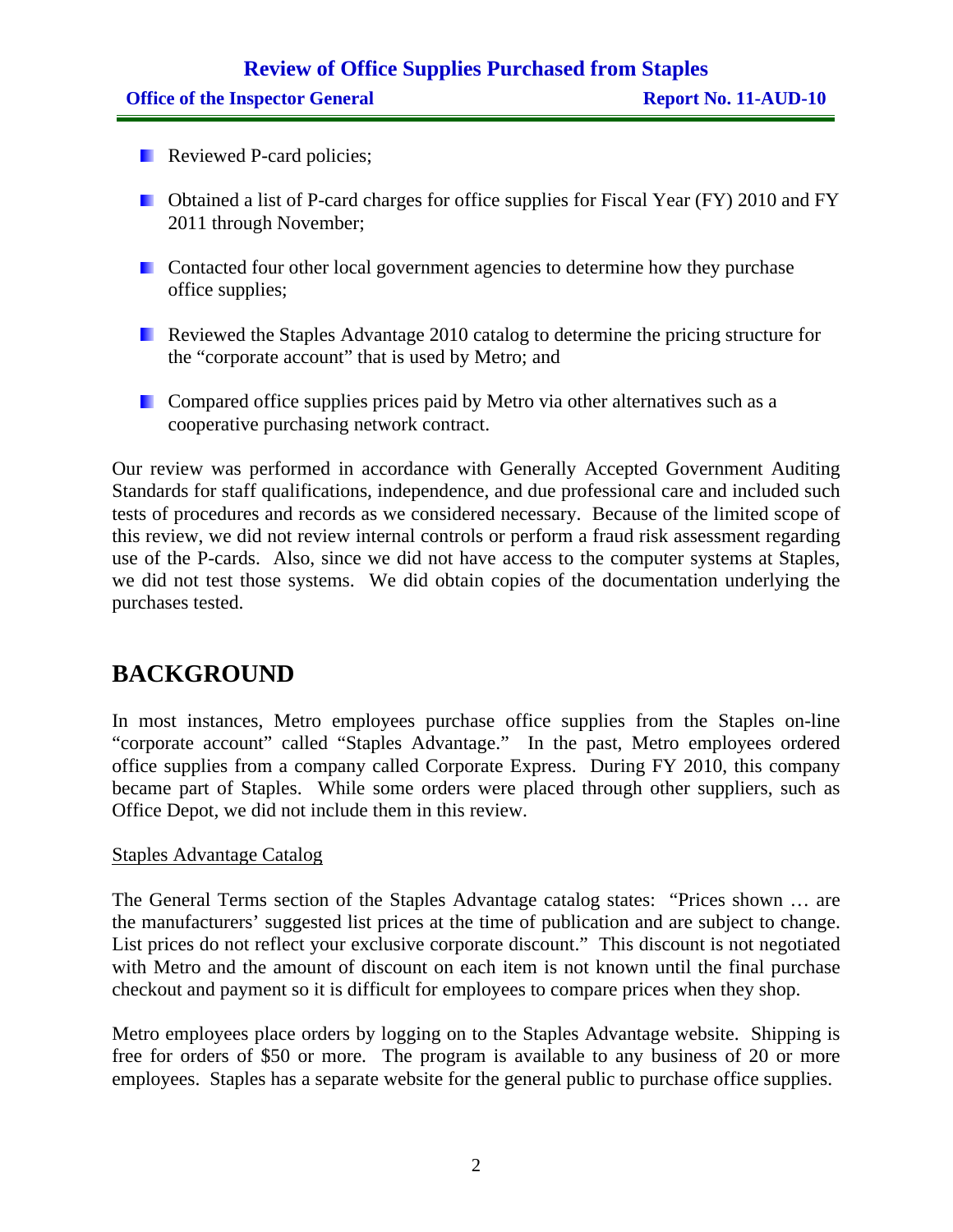### **Review of Office Supplies Purchased from Staples Office of the Inspector General Report No. 11-AUD-10**

- **Reviewed P-card policies;**
- **D** Obtained a list of P-card charges for office supplies for Fiscal Year (FY) 2010 and FY 2011 through November;
- **Contacted four other local government agencies to determine how they purchase** office supplies;
- Reviewed the Staples Advantage 2010 catalog to determine the pricing structure for the "corporate account" that is used by Metro; and
- **E.** Compared office supplies prices paid by Metro via other alternatives such as a cooperative purchasing network contract.

Our review was performed in accordance with Generally Accepted Government Auditing Standards for staff qualifications, independence, and due professional care and included such tests of procedures and records as we considered necessary. Because of the limited scope of this review, we did not review internal controls or perform a fraud risk assessment regarding use of the P-cards. Also, since we did not have access to the computer systems at Staples, we did not test those systems. We did obtain copies of the documentation underlying the purchases tested.

### **BACKGROUND**

In most instances, Metro employees purchase office supplies from the Staples on-line "corporate account" called "Staples Advantage." In the past, Metro employees ordered office supplies from a company called Corporate Express. During FY 2010, this company became part of Staples. While some orders were placed through other suppliers, such as Office Depot, we did not include them in this review.

#### Staples Advantage Catalog

The General Terms section of the Staples Advantage catalog states: "Prices shown … are the manufacturers' suggested list prices at the time of publication and are subject to change. List prices do not reflect your exclusive corporate discount." This discount is not negotiated with Metro and the amount of discount on each item is not known until the final purchase checkout and payment so it is difficult for employees to compare prices when they shop.

Metro employees place orders by logging on to the Staples Advantage website. Shipping is free for orders of \$50 or more. The program is available to any business of 20 or more employees. Staples has a separate website for the general public to purchase office supplies.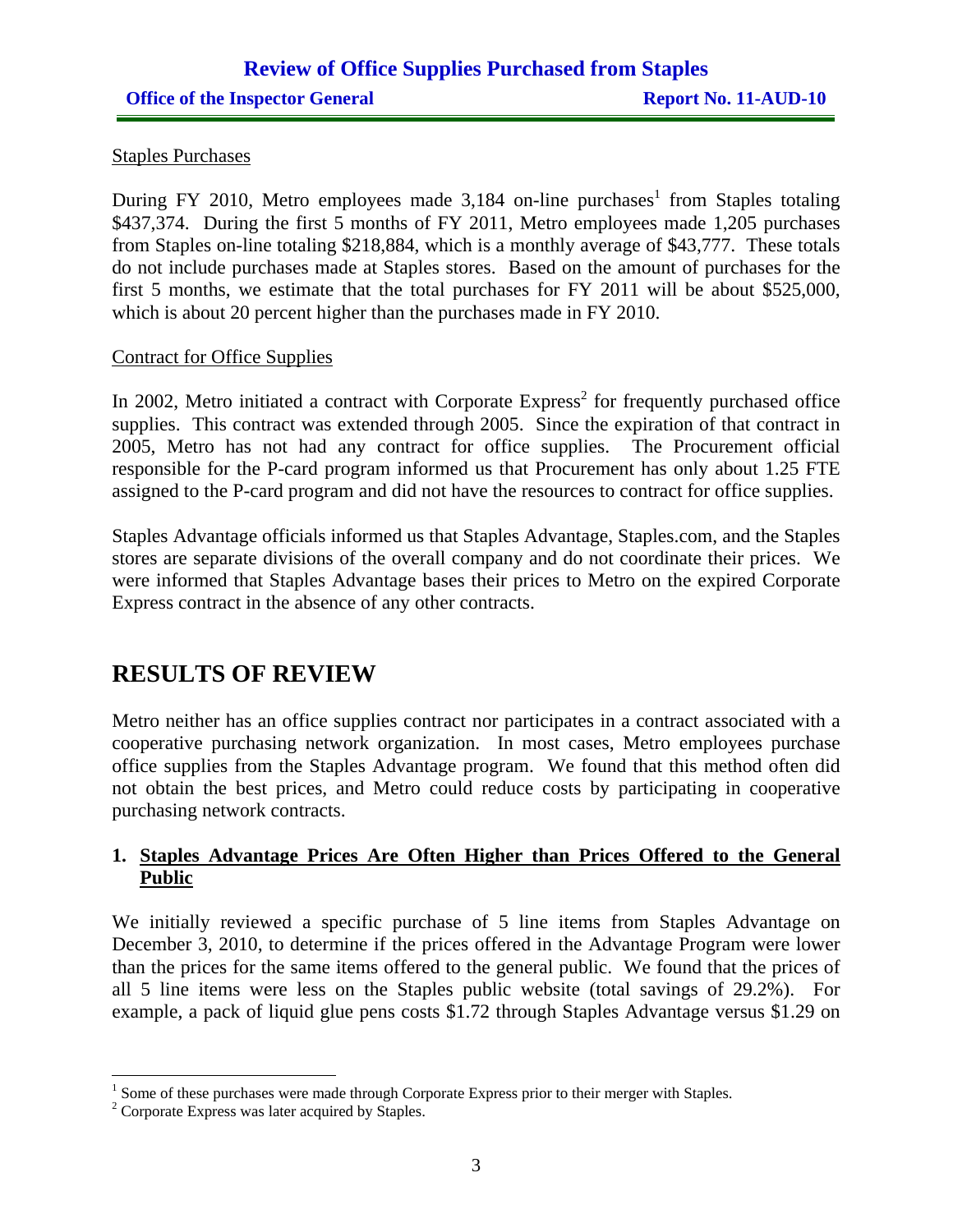#### Staples Purchases

During FY 2010, Metro employees made 3,184 on-line purchases<sup>1</sup> from Staples totaling \$437,374. During the first 5 months of FY 2011, Metro employees made 1,205 purchases from Staples on-line totaling \$218,884, which is a monthly average of \$43,777. These totals do not include purchases made at Staples stores. Based on the amount of purchases for the first 5 months, we estimate that the total purchases for FY 2011 will be about \$525,000, which is about 20 percent higher than the purchases made in FY 2010.

#### Contract for Office Supplies

In 2002, Metro initiated a contract with Corporate  $Express<sup>2</sup>$  for frequently purchased office supplies. This contract was extended through 2005. Since the expiration of that contract in 2005, Metro has not had any contract for office supplies. The Procurement official responsible for the P-card program informed us that Procurement has only about 1.25 FTE assigned to the P-card program and did not have the resources to contract for office supplies.

Staples Advantage officials informed us that Staples Advantage, Staples.com, and the Staples stores are separate divisions of the overall company and do not coordinate their prices. We were informed that Staples Advantage bases their prices to Metro on the expired Corporate Express contract in the absence of any other contracts.

### **RESULTS OF REVIEW**

Metro neither has an office supplies contract nor participates in a contract associated with a cooperative purchasing network organization. In most cases, Metro employees purchase office supplies from the Staples Advantage program. We found that this method often did not obtain the best prices, and Metro could reduce costs by participating in cooperative purchasing network contracts.

#### **1. Staples Advantage Prices Are Often Higher than Prices Offered to the General Public**

We initially reviewed a specific purchase of 5 line items from Staples Advantage on December 3, 2010, to determine if the prices offered in the Advantage Program were lower than the prices for the same items offered to the general public. We found that the prices of all 5 line items were less on the Staples public website (total savings of 29.2%). For example, a pack of liquid glue pens costs \$1.72 through Staples Advantage versus \$1.29 on

<sup>&</sup>lt;sup>1</sup> Some of these purchases were made through Corporate Express prior to their merger with Staples.

<sup>&</sup>lt;sup>2</sup> Corporate Express was later acquired by Staples.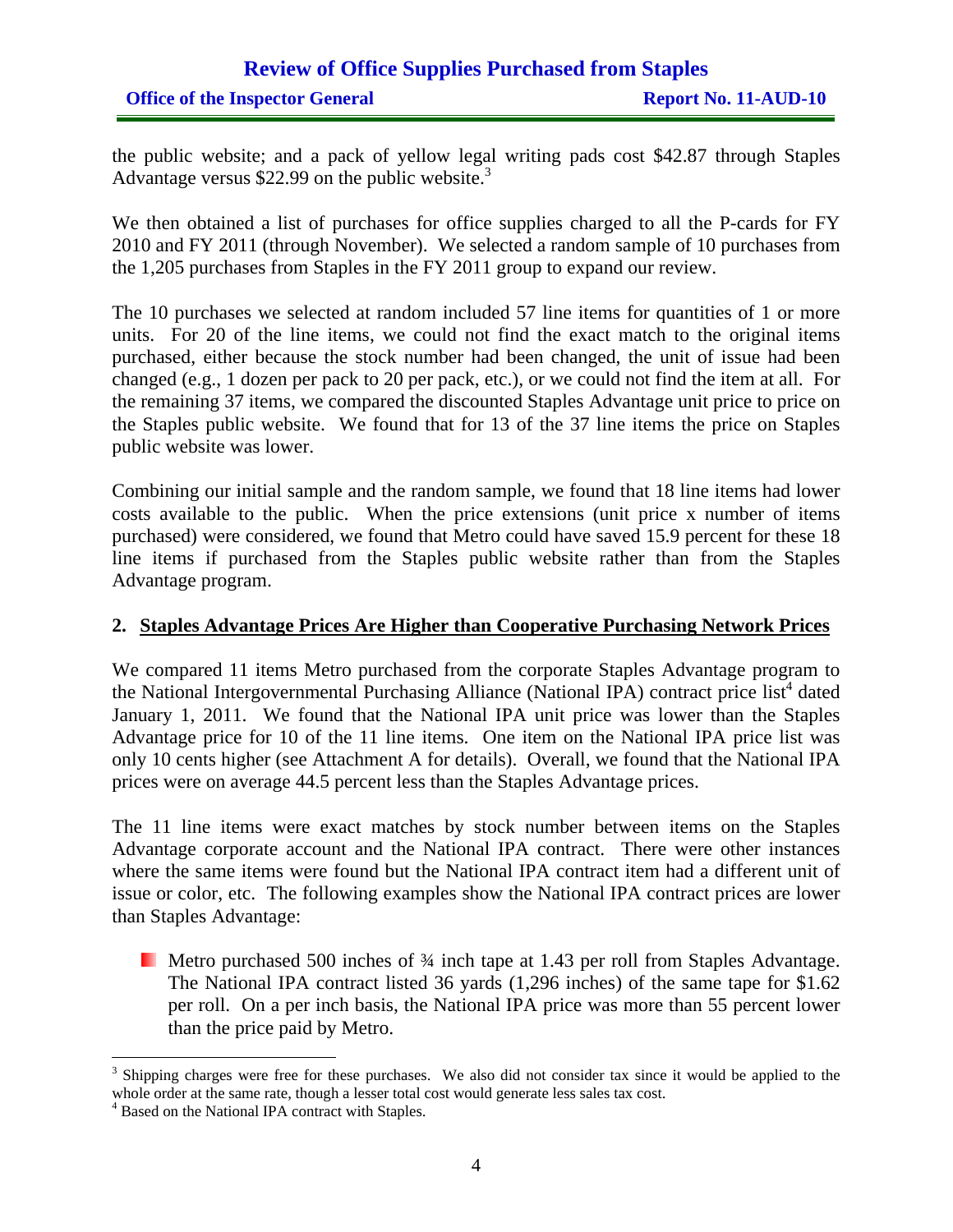### **Review of Office Supplies Purchased from Staples Office of the Inspector General Report No. 11-AUD-10**

the public website; and a pack of yellow legal writing pads cost \$42.87 through Staples Advantage versus \$22.99 on the public website.<sup>3</sup>

We then obtained a list of purchases for office supplies charged to all the P-cards for FY 2010 and FY 2011 (through November). We selected a random sample of 10 purchases from the 1,205 purchases from Staples in the FY 2011 group to expand our review.

The 10 purchases we selected at random included 57 line items for quantities of 1 or more units. For 20 of the line items, we could not find the exact match to the original items purchased, either because the stock number had been changed, the unit of issue had been changed (e.g., 1 dozen per pack to 20 per pack, etc.), or we could not find the item at all. For the remaining 37 items, we compared the discounted Staples Advantage unit price to price on the Staples public website. We found that for 13 of the 37 line items the price on Staples public website was lower.

Combining our initial sample and the random sample, we found that 18 line items had lower costs available to the public. When the price extensions (unit price x number of items purchased) were considered, we found that Metro could have saved 15.9 percent for these 18 line items if purchased from the Staples public website rather than from the Staples Advantage program.

#### **2. Staples Advantage Prices Are Higher than Cooperative Purchasing Network Prices**

We compared 11 items Metro purchased from the corporate Staples Advantage program to the National Intergovernmental Purchasing Alliance (National IPA) contract price list<sup>4</sup> dated January 1, 2011. We found that the National IPA unit price was lower than the Staples Advantage price for 10 of the 11 line items. One item on the National IPA price list was only 10 cents higher (see Attachment A for details). Overall, we found that the National IPA prices were on average 44.5 percent less than the Staples Advantage prices.

The 11 line items were exact matches by stock number between items on the Staples Advantage corporate account and the National IPA contract. There were other instances where the same items were found but the National IPA contract item had a different unit of issue or color, etc. The following examples show the National IPA contract prices are lower than Staples Advantage:

Metro purchased 500 inches of  $\frac{3}{4}$  inch tape at 1.43 per roll from Staples Advantage. The National IPA contract listed 36 yards (1,296 inches) of the same tape for \$1.62 per roll. On a per inch basis, the National IPA price was more than 55 percent lower than the price paid by Metro.

 $3$  Shipping charges were free for these purchases. We also did not consider tax since it would be applied to the whole order at the same rate, though a lesser total cost would generate less sales tax cost.

<sup>4</sup> Based on the National IPA contract with Staples.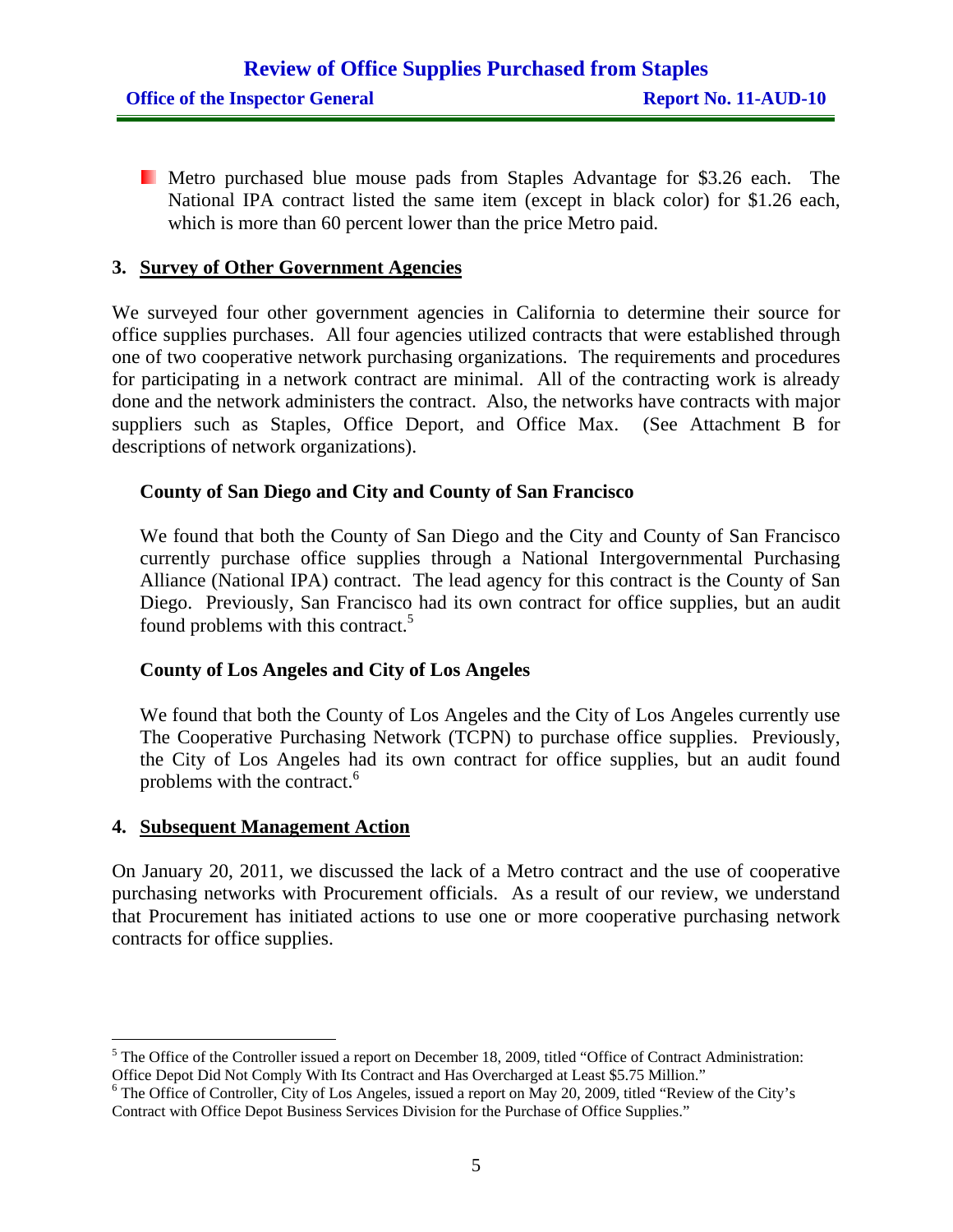Metro purchased blue mouse pads from Staples Advantage for \$3.26 each. The National IPA contract listed the same item (except in black color) for \$1.26 each, which is more than 60 percent lower than the price Metro paid.

#### **3. Survey of Other Government Agencies**

We surveyed four other government agencies in California to determine their source for office supplies purchases. All four agencies utilized contracts that were established through one of two cooperative network purchasing organizations. The requirements and procedures for participating in a network contract are minimal. All of the contracting work is already done and the network administers the contract. Also, the networks have contracts with major suppliers such as Staples, Office Deport, and Office Max. (See Attachment B for descriptions of network organizations).

#### **County of San Diego and City and County of San Francisco**

We found that both the County of San Diego and the City and County of San Francisco currently purchase office supplies through a National Intergovernmental Purchasing Alliance (National IPA) contract. The lead agency for this contract is the County of San Diego. Previously, San Francisco had its own contract for office supplies, but an audit found problems with this contract.<sup>5</sup>

#### **County of Los Angeles and City of Los Angeles**

We found that both the County of Los Angeles and the City of Los Angeles currently use The Cooperative Purchasing Network (TCPN) to purchase office supplies. Previously, the City of Los Angeles had its own contract for office supplies, but an audit found problems with the contract.<sup>6</sup>

#### **4. Subsequent Management Action**

 $\overline{a}$ 

On January 20, 2011, we discussed the lack of a Metro contract and the use of cooperative purchasing networks with Procurement officials. As a result of our review, we understand that Procurement has initiated actions to use one or more cooperative purchasing network contracts for office supplies.

 $<sup>5</sup>$  The Office of the Controller issued a report on December 18, 2009, titled "Office of Contract Administration:</sup> Office Depot Did Not Comply With Its Contract and Has Overcharged at Least \$5.75 Million."

<sup>&</sup>lt;sup>6</sup> The Office of Controller, City of Los Angeles, issued a report on May 20, 2009, titled "Review of the City's Contract with Office Depot Business Services Division for the Purchase of Office Supplies."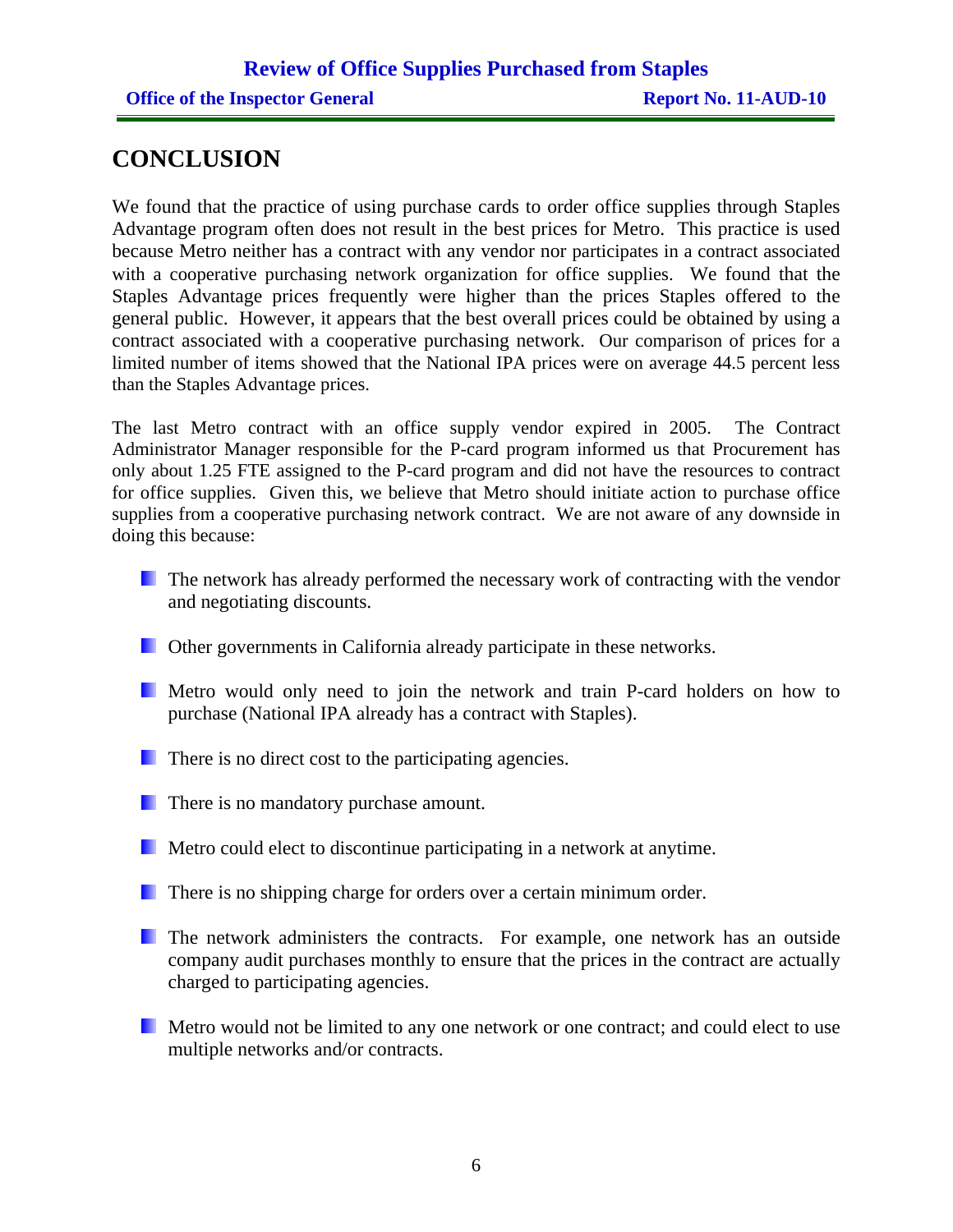### **CONCLUSION**

We found that the practice of using purchase cards to order office supplies through Staples Advantage program often does not result in the best prices for Metro. This practice is used because Metro neither has a contract with any vendor nor participates in a contract associated with a cooperative purchasing network organization for office supplies. We found that the Staples Advantage prices frequently were higher than the prices Staples offered to the general public. However, it appears that the best overall prices could be obtained by using a contract associated with a cooperative purchasing network. Our comparison of prices for a limited number of items showed that the National IPA prices were on average 44.5 percent less than the Staples Advantage prices.

The last Metro contract with an office supply vendor expired in 2005. The Contract Administrator Manager responsible for the P-card program informed us that Procurement has only about 1.25 FTE assigned to the P-card program and did not have the resources to contract for office supplies. Given this, we believe that Metro should initiate action to purchase office supplies from a cooperative purchasing network contract. We are not aware of any downside in doing this because:

- **The network has already performed the necessary work of contracting with the vendor** and negotiating discounts.
- **Other governments in California already participate in these networks.**
- **Metro would only need to join the network and train P-card holders on how to** purchase (National IPA already has a contract with Staples).
- **There** is no direct cost to the participating agencies.
- **There** is no mandatory purchase amount.
- **Metro could elect to discontinue participating in a network at anytime.**
- **There** is no shipping charge for orders over a certain minimum order.
- **The network administers the contracts.** For example, one network has an outside company audit purchases monthly to ensure that the prices in the contract are actually charged to participating agencies.
- Metro would not be limited to any one network or one contract; and could elect to use multiple networks and/or contracts.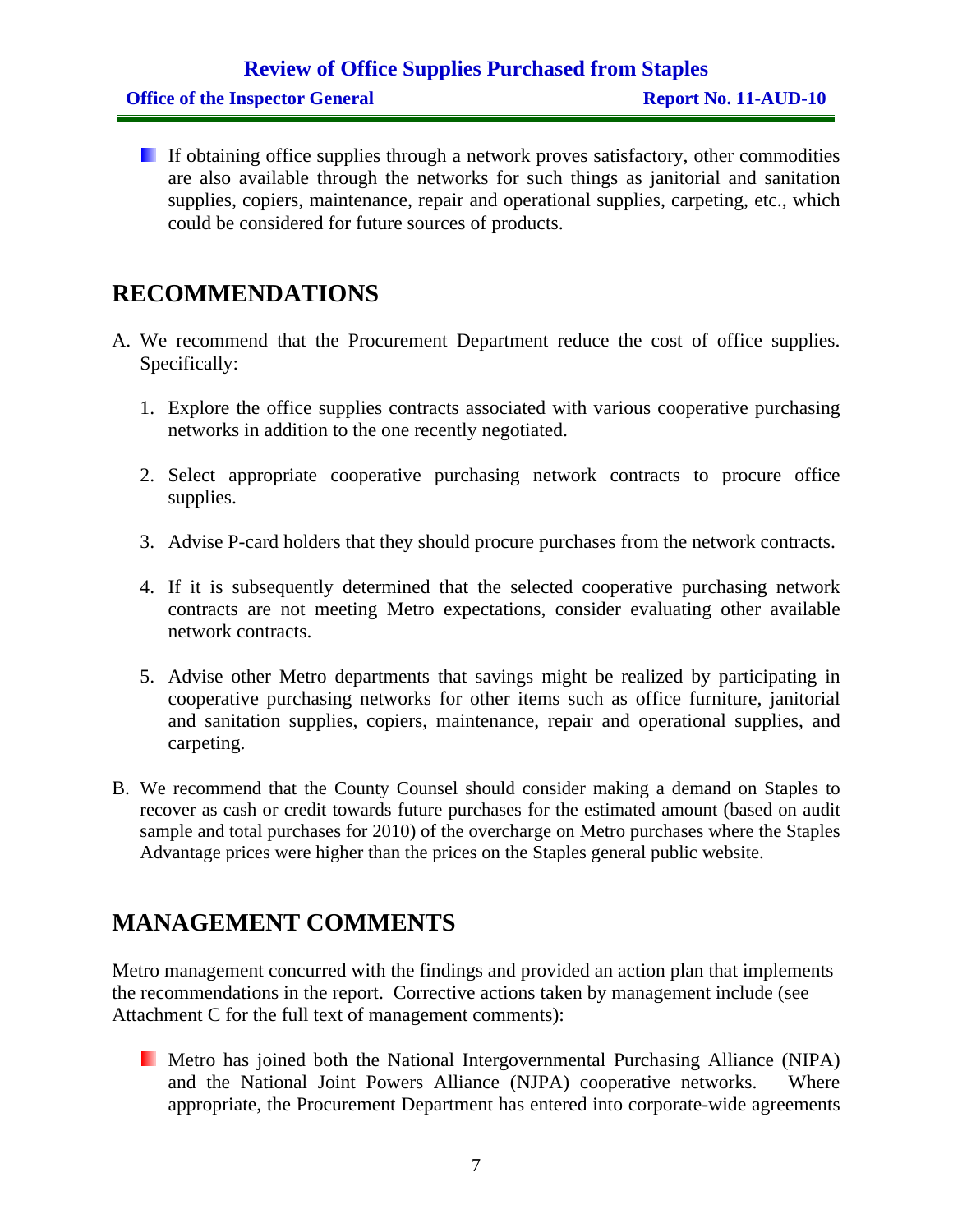### **Review of Office Supplies Purchased from Staples**

If obtaining office supplies through a network proves satisfactory, other commodities are also available through the networks for such things as janitorial and sanitation supplies, copiers, maintenance, repair and operational supplies, carpeting, etc., which could be considered for future sources of products.

### **RECOMMENDATIONS**

- A. We recommend that the Procurement Department reduce the cost of office supplies. Specifically:
	- 1. Explore the office supplies contracts associated with various cooperative purchasing networks in addition to the one recently negotiated.
	- 2. Select appropriate cooperative purchasing network contracts to procure office supplies.
	- 3. Advise P-card holders that they should procure purchases from the network contracts.
	- 4. If it is subsequently determined that the selected cooperative purchasing network contracts are not meeting Metro expectations, consider evaluating other available network contracts.
	- 5. Advise other Metro departments that savings might be realized by participating in cooperative purchasing networks for other items such as office furniture, janitorial and sanitation supplies, copiers, maintenance, repair and operational supplies, and carpeting.
- B. We recommend that the County Counsel should consider making a demand on Staples to recover as cash or credit towards future purchases for the estimated amount (based on audit sample and total purchases for 2010) of the overcharge on Metro purchases where the Staples Advantage prices were higher than the prices on the Staples general public website.

### **MANAGEMENT COMMENTS**

Metro management concurred with the findings and provided an action plan that implements the recommendations in the report. Corrective actions taken by management include (see Attachment C for the full text of management comments):

**Metro has joined both the National Intergovernmental Purchasing Alliance (NIPA)** and the National Joint Powers Alliance (NJPA) cooperative networks. Where appropriate, the Procurement Department has entered into corporate-wide agreements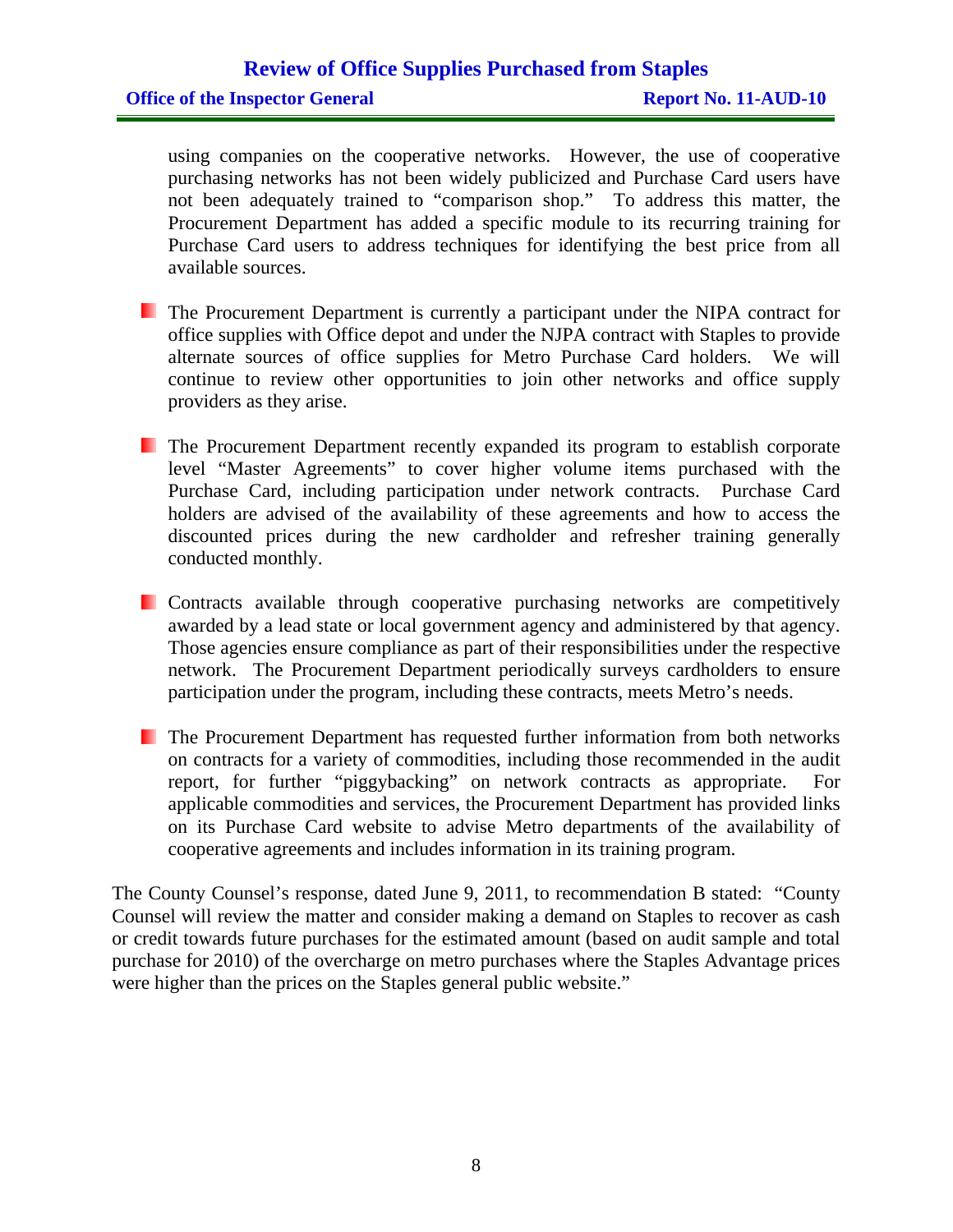#### **Review of Office Supplies Purchased from Staples**

using companies on the cooperative networks. However, the use of cooperative purchasing networks has not been widely publicized and Purchase Card users have not been adequately trained to "comparison shop." To address this matter, the Procurement Department has added a specific module to its recurring training for Purchase Card users to address techniques for identifying the best price from all available sources.

- **The Procurement Department is currently a participant under the NIPA contract for** office supplies with Office depot and under the NJPA contract with Staples to provide alternate sources of office supplies for Metro Purchase Card holders. We will continue to review other opportunities to join other networks and office supply providers as they arise.
- The Procurement Department recently expanded its program to establish corporate level "Master Agreements" to cover higher volume items purchased with the Purchase Card, including participation under network contracts. Purchase Card holders are advised of the availability of these agreements and how to access the discounted prices during the new cardholder and refresher training generally conducted monthly.
- **Contracts available through cooperative purchasing networks are competitively** awarded by a lead state or local government agency and administered by that agency. Those agencies ensure compliance as part of their responsibilities under the respective network. The Procurement Department periodically surveys cardholders to ensure participation under the program, including these contracts, meets Metro's needs.
- **The Procurement Department has requested further information from both networks** on contracts for a variety of commodities, including those recommended in the audit report, for further "piggybacking" on network contracts as appropriate. For applicable commodities and services, the Procurement Department has provided links on its Purchase Card website to advise Metro departments of the availability of cooperative agreements and includes information in its training program.

The County Counsel's response, dated June 9, 2011, to recommendation B stated: "County Counsel will review the matter and consider making a demand on Staples to recover as cash or credit towards future purchases for the estimated amount (based on audit sample and total purchase for 2010) of the overcharge on metro purchases where the Staples Advantage prices were higher than the prices on the Staples general public website."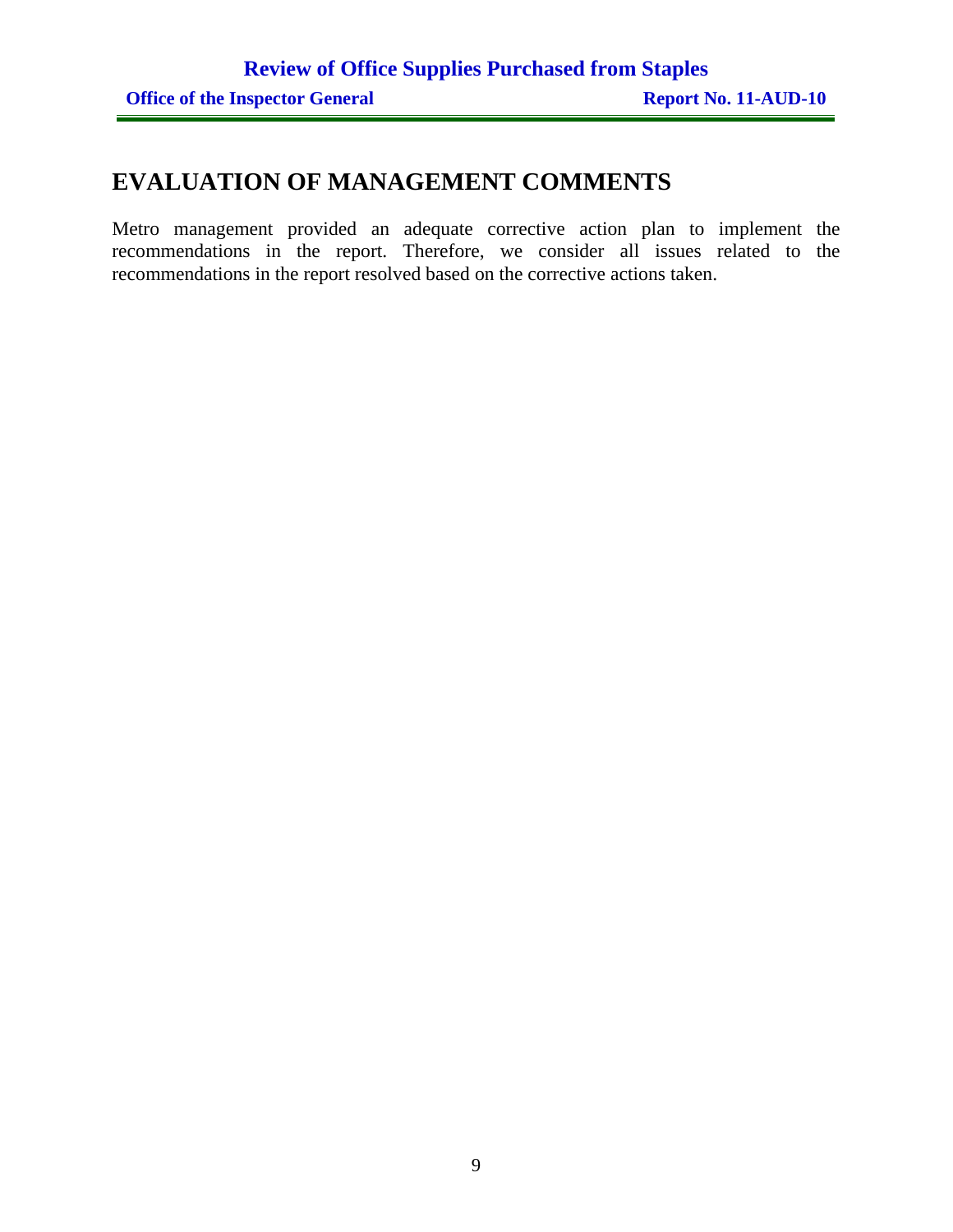### **EVALUATION OF MANAGEMENT COMMENTS**

Metro management provided an adequate corrective action plan to implement the recommendations in the report. Therefore, we consider all issues related to the recommendations in the report resolved based on the corrective actions taken.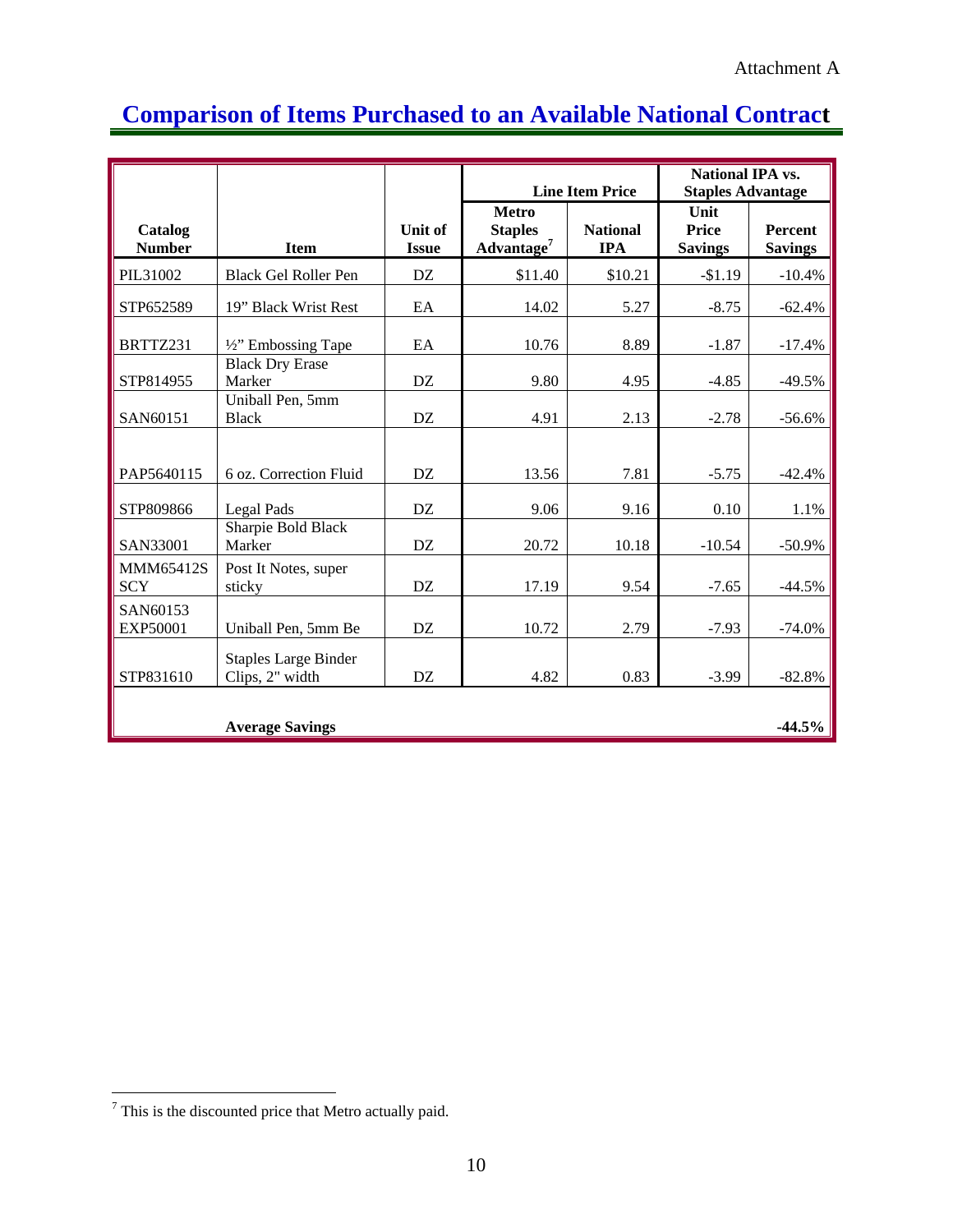### **Comparison of Items Purchased to an Available National Contract**

|                                |                                                |                         |                                                          | <b>Line Item Price</b>        | <b>National IPA vs.</b><br><b>Staples Advantage</b> |                                  |  |
|--------------------------------|------------------------------------------------|-------------------------|----------------------------------------------------------|-------------------------------|-----------------------------------------------------|----------------------------------|--|
| Catalog<br><b>Number</b>       | <b>Item</b>                                    | Unit of<br><b>Issue</b> | <b>Metro</b><br><b>Staples</b><br>Advantage <sup>7</sup> | <b>National</b><br><b>IPA</b> | Unit<br><b>Price</b><br><b>Savings</b>              | <b>Percent</b><br><b>Savings</b> |  |
| PIL31002                       | <b>Black Gel Roller Pen</b>                    | DZ                      | \$11.40                                                  | \$10.21                       | $-$1.19$                                            | $-10.4%$                         |  |
| STP652589                      | 19" Black Wrist Rest                           | EA                      | 14.02                                                    | 5.27                          | $-8.75$                                             | $-62.4%$                         |  |
| BRTTZ231                       | 1/2" Embossing Tape                            | EA                      | 10.76                                                    | 8.89                          | $-1.87$                                             | $-17.4%$                         |  |
| STP814955                      | <b>Black Dry Erase</b><br>Marker               | DZ                      | 9.80                                                     | 4.95                          | $-4.85$                                             | $-49.5%$                         |  |
| SAN60151                       | Uniball Pen, 5mm<br><b>Black</b>               | DZ                      | 4.91                                                     | 2.13                          | $-2.78$                                             | $-56.6%$                         |  |
| PAP5640115                     | 6 oz. Correction Fluid                         | DZ                      | 13.56                                                    | 7.81                          | $-5.75$                                             | $-42.4%$                         |  |
| STP809866                      | Legal Pads                                     | DZ                      | 9.06                                                     | 9.16                          | 0.10                                                | 1.1%                             |  |
| SAN33001                       | Sharpie Bold Black<br>Marker                   | DZ                      | 20.72                                                    | 10.18                         | $-10.54$                                            | $-50.9%$                         |  |
| <b>MMM65412S</b><br><b>SCY</b> | Post It Notes, super<br>sticky                 | DZ                      | 17.19                                                    | 9.54                          | $-7.65$                                             | $-44.5%$                         |  |
| SAN60153<br>EXP50001           | Uniball Pen, 5mm Be                            | DZ                      | 10.72                                                    | 2.79                          | $-7.93$                                             | $-74.0%$                         |  |
| STP831610                      | <b>Staples Large Binder</b><br>Clips, 2" width | DZ                      | 4.82                                                     | 0.83                          | $-3.99$                                             | $-82.8%$                         |  |
|                                | <b>Average Savings</b>                         |                         |                                                          |                               |                                                     | $-44.5%$                         |  |

<sup>&</sup>lt;sup>7</sup> This is the discounted price that Metro actually paid.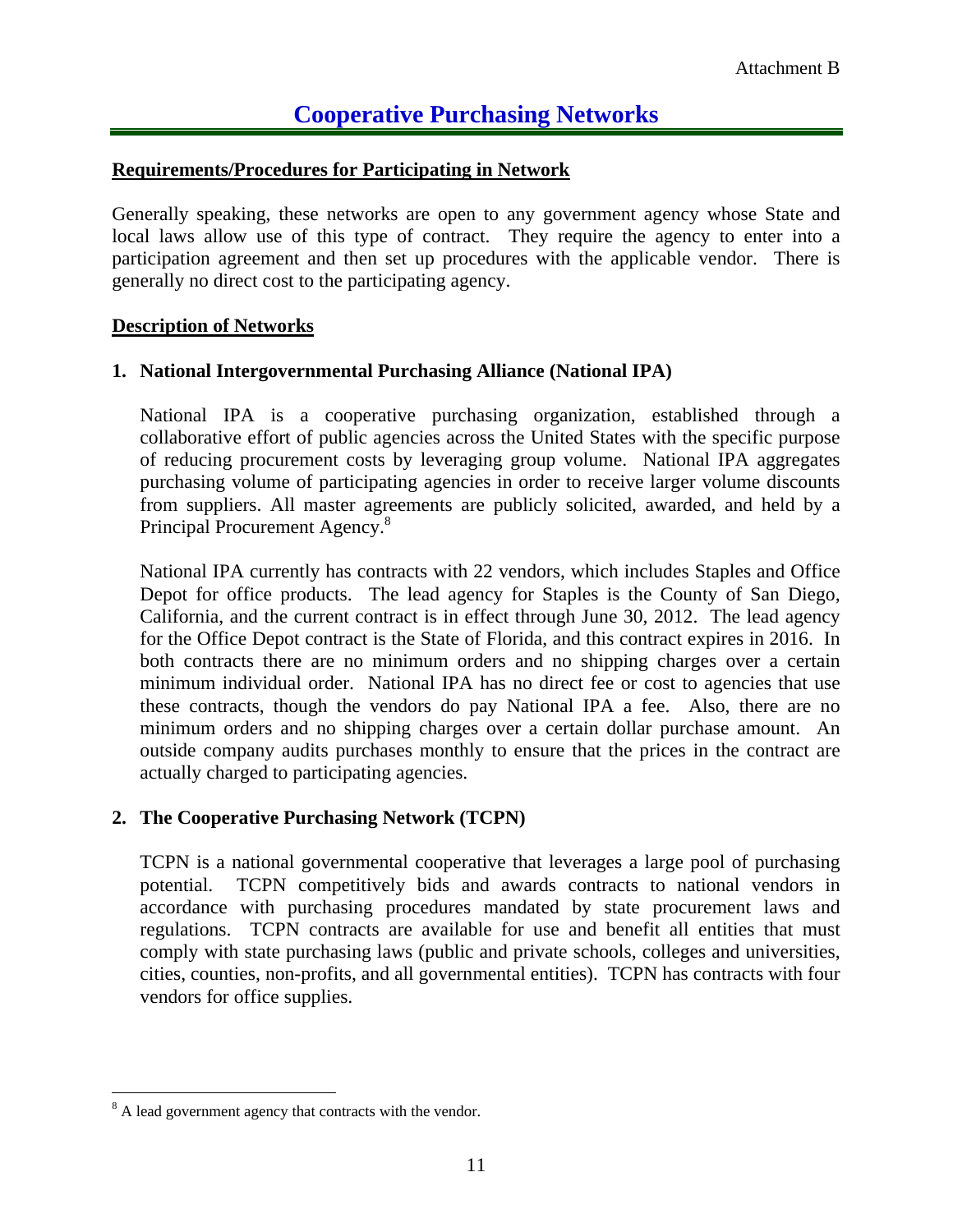### **Cooperative Purchasing Networks**

#### **Requirements/Procedures for Participating in Network**

Generally speaking, these networks are open to any government agency whose State and local laws allow use of this type of contract. They require the agency to enter into a participation agreement and then set up procedures with the applicable vendor. There is generally no direct cost to the participating agency.

#### **Description of Networks**

#### **1. National Intergovernmental Purchasing Alliance (National IPA)**

National IPA is a cooperative purchasing organization, established through a collaborative effort of public agencies across the United States with the specific purpose of reducing procurement costs by leveraging group volume. National IPA aggregates purchasing volume of participating agencies in order to receive larger volume discounts from suppliers. All master agreements are publicly solicited, awarded, and held by a Principal Procurement Agency.<sup>8</sup>

National IPA currently has contracts with 22 vendors, which includes Staples and Office Depot for office products. The lead agency for Staples is the County of San Diego, California, and the current contract is in effect through June 30, 2012. The lead agency for the Office Depot contract is the State of Florida, and this contract expires in 2016. In both contracts there are no minimum orders and no shipping charges over a certain minimum individual order. National IPA has no direct fee or cost to agencies that use these contracts, though the vendors do pay National IPA a fee. Also, there are no minimum orders and no shipping charges over a certain dollar purchase amount. An outside company audits purchases monthly to ensure that the prices in the contract are actually charged to participating agencies.

### **2. The Cooperative Purchasing Network (TCPN)**

TCPN is a national governmental cooperative that leverages a large pool of purchasing potential. TCPN competitively bids and awards contracts to national vendors in accordance with purchasing procedures mandated by state procurement laws and regulations. TCPN contracts are available for use and benefit all entities that must comply with state purchasing laws (public and private schools, colleges and universities, cities, counties, non-profits, and all governmental entities). TCPN has contracts with four vendors for office supplies.

 $\overline{a}$ 

<sup>&</sup>lt;sup>8</sup> A lead government agency that contracts with the vendor.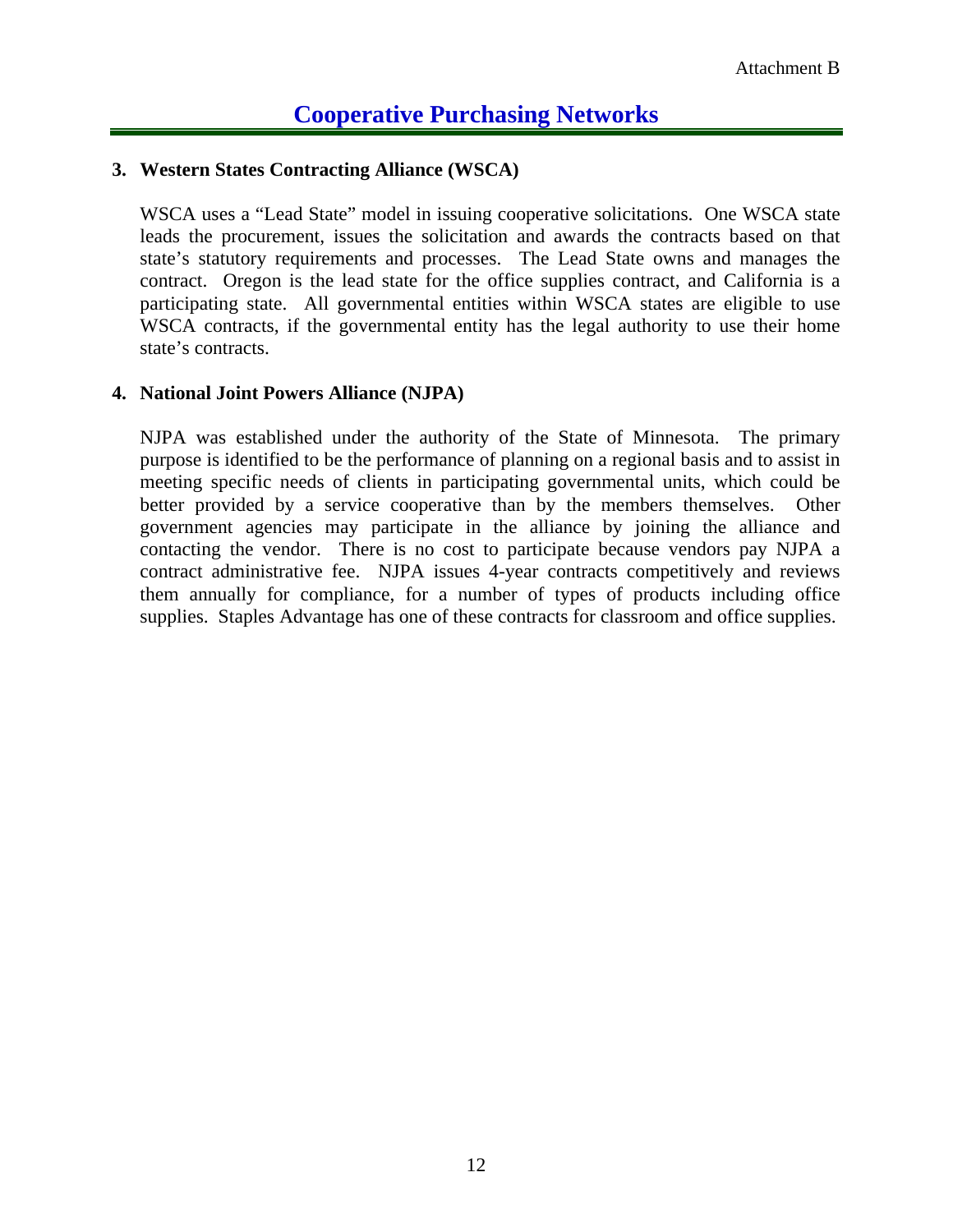### **Cooperative Purchasing Networks**

#### **3. Western States Contracting Alliance (WSCA)**

WSCA uses a "Lead State" model in issuing cooperative solicitations. One WSCA state leads the procurement, issues the solicitation and awards the contracts based on that state's statutory requirements and processes. The Lead State owns and manages the contract. Oregon is the lead state for the office supplies contract, and California is a participating state. All governmental entities within WSCA states are eligible to use WSCA contracts, if the governmental entity has the legal authority to use their home state's contracts.

#### **4. National Joint Powers Alliance (NJPA)**

NJPA was established under the authority of the State of Minnesota. The primary purpose is identified to be the performance of planning on a regional basis and to assist in meeting specific needs of clients in participating governmental units, which could be better provided by a service cooperative than by the members themselves. Other government agencies may participate in the alliance by joining the alliance and contacting the vendor. There is no cost to participate because vendors pay NJPA a contract administrative fee. NJPA issues 4-year contracts competitively and reviews them annually for compliance, for a number of types of products including office supplies. Staples Advantage has one of these contracts for classroom and office supplies.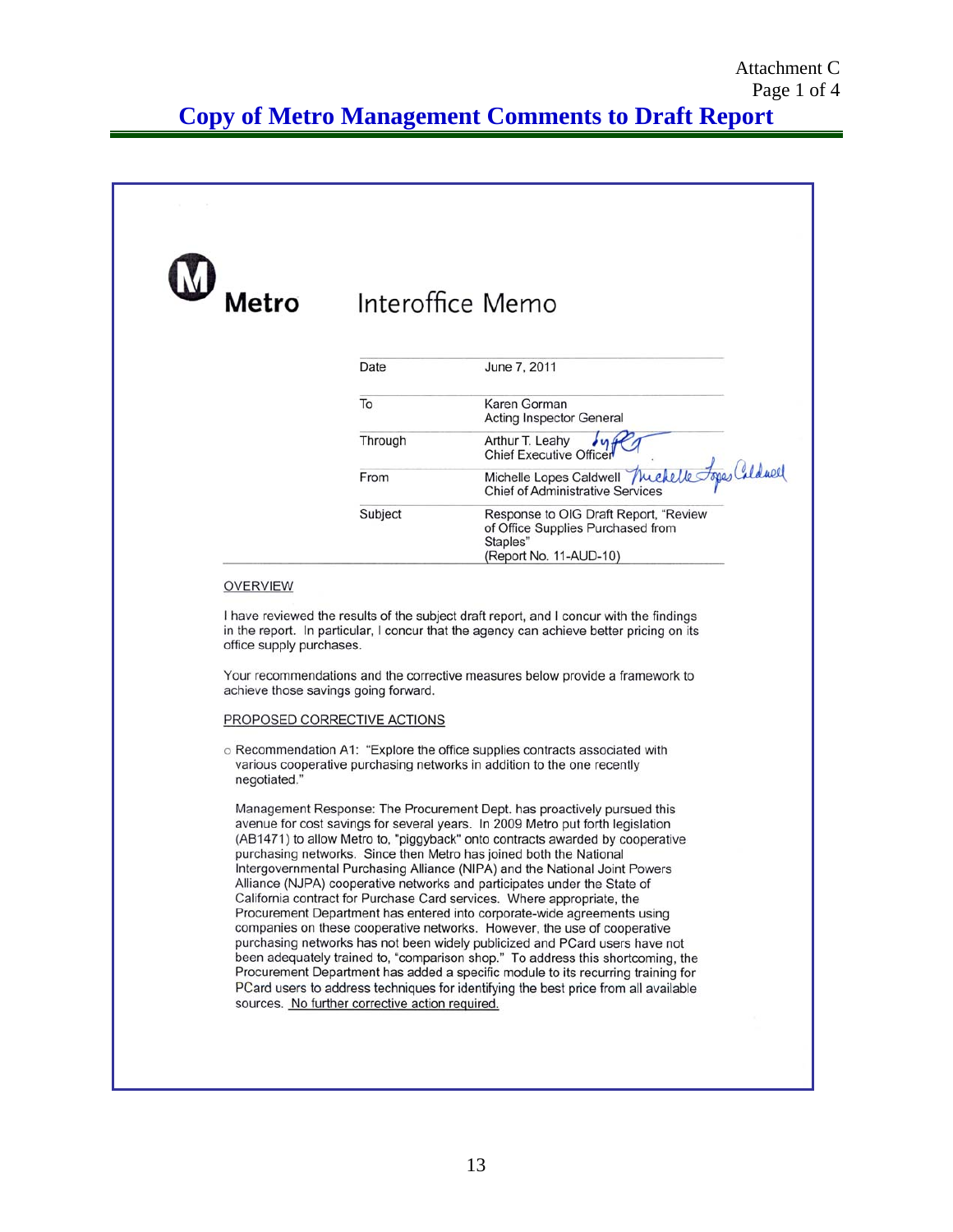**Copy of Metro Management Comments to Draft Report** 

| Metro                    |         | Interoffice Memo                                                                                                                                                                    |
|--------------------------|---------|-------------------------------------------------------------------------------------------------------------------------------------------------------------------------------------|
|                          | Date    | June 7, 2011                                                                                                                                                                        |
|                          | To      | Karen Gorman<br><b>Acting Inspector General</b>                                                                                                                                     |
|                          | Through | Arthur T. Leahy<br>Chief Executive Officer                                                                                                                                          |
|                          | From    | Michelle Lopes Caldwell Muchelle Topes Caldwell                                                                                                                                     |
|                          | Subject | Response to OIG Draft Report, "Review<br>of Office Supplies Purchased from<br>Staples"<br>(Report No. 11-AUD-10)                                                                    |
| <b>OVERVIEW</b>          |         |                                                                                                                                                                                     |
| office supply purchases. |         | I have reviewed the results of the subject draft report, and I concur with the findings<br>in the report. In particular, I concur that the agency can achieve better pricing on its |

#### PROPOSED CORRECTIVE ACTIONS

o Recommendation A1: "Explore the office supplies contracts associated with various cooperative purchasing networks in addition to the one recently negotiated."

Management Response: The Procurement Dept. has proactively pursued this avenue for cost savings for several years. In 2009 Metro put forth legislation (AB1471) to allow Metro to, "piggyback" onto contracts awarded by cooperative purchasing networks. Since then Metro has joined both the National Intergovernmental Purchasing Alliance (NIPA) and the National Joint Powers Alliance (NJPA) cooperative networks and participates under the State of California contract for Purchase Card services. Where appropriate, the Procurement Department has entered into corporate-wide agreements using companies on these cooperative networks. However, the use of cooperative purchasing networks has not been widely publicized and PCard users have not been adequately trained to, "comparison shop." To address this shortcoming, the Procurement Department has added a specific module to its recurring training for PCard users to address techniques for identifying the best price from all available sources. No further corrective action required.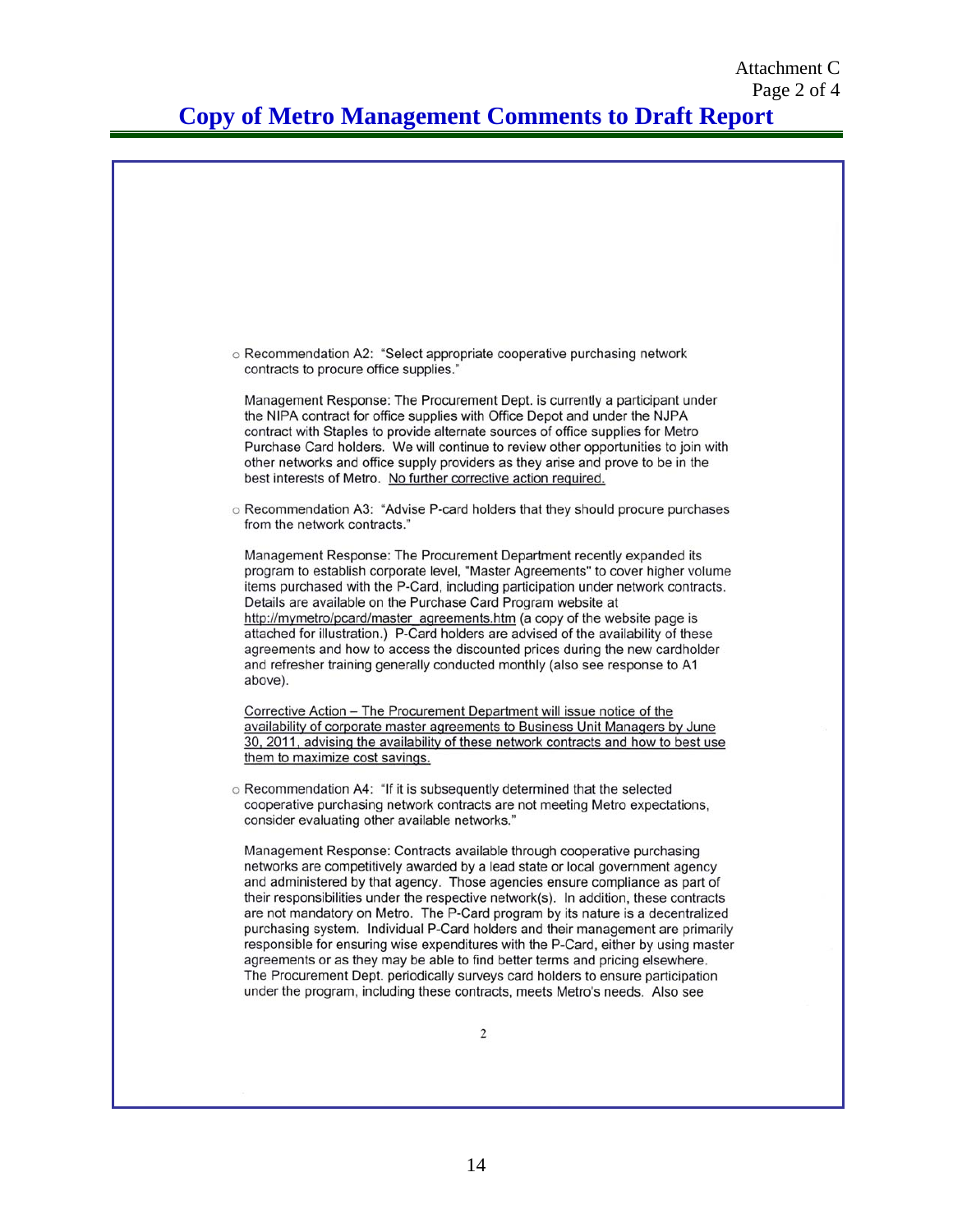### **Copy of Metro Management Comments to Draft Report**

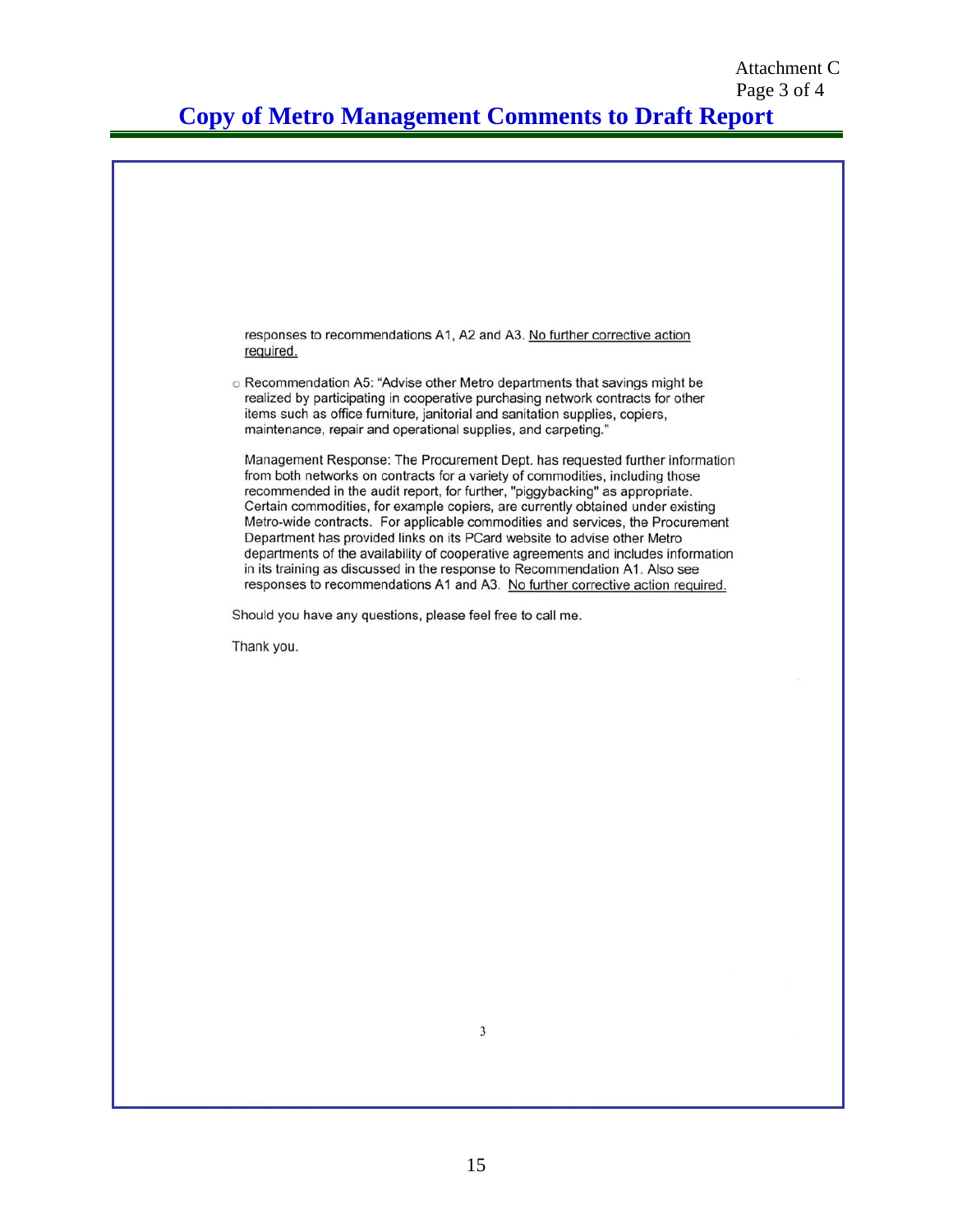**Copy of Metro Management Comments to Draft Report** 

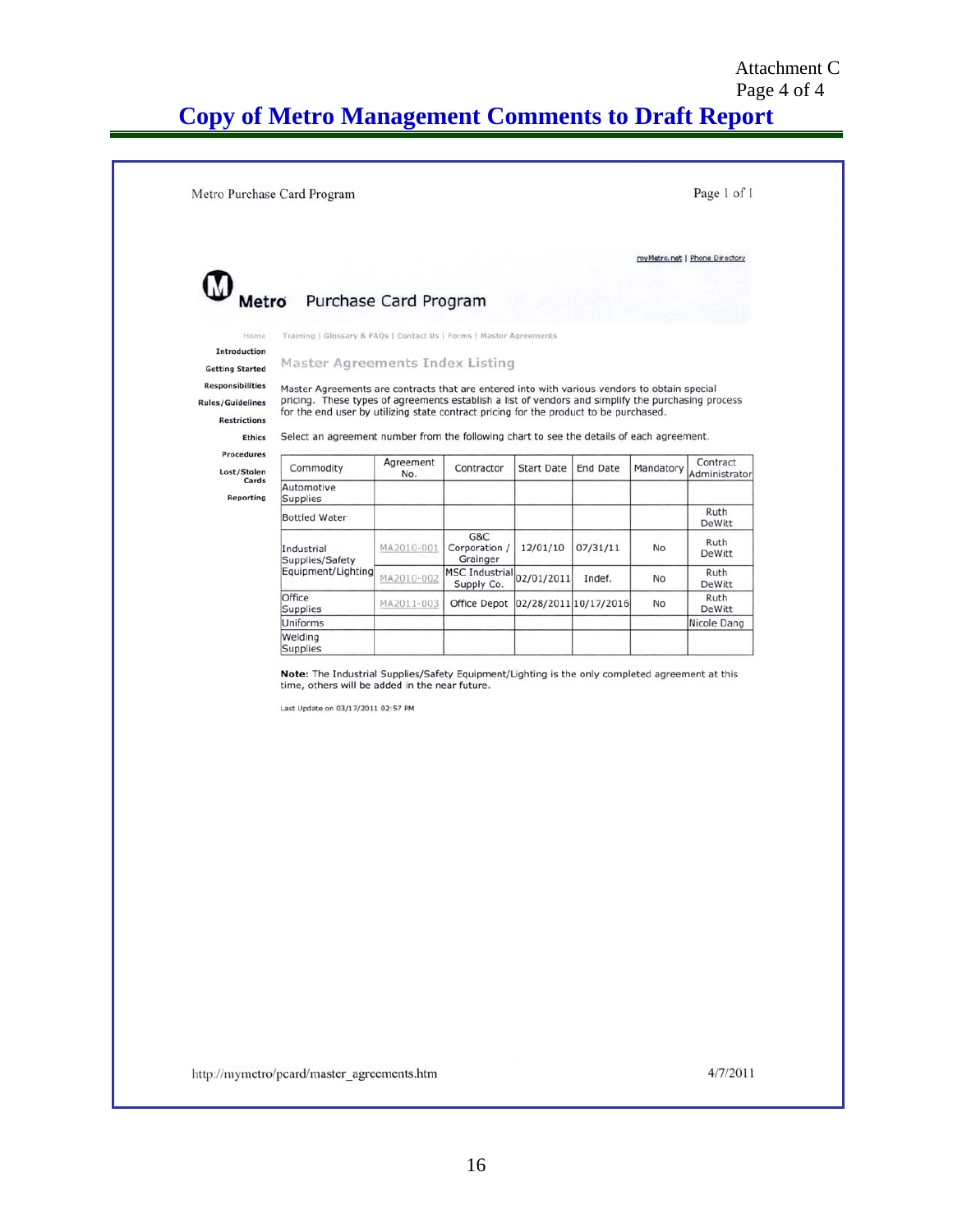### Page 4 of 4 **Copy of Metro Management Comments to Draft Report**

|                                                |                                                                                                                                                                                             |                                     |            |                       |           | myMetro.net   Phone Directory |
|------------------------------------------------|---------------------------------------------------------------------------------------------------------------------------------------------------------------------------------------------|-------------------------------------|------------|-----------------------|-----------|-------------------------------|
|                                                |                                                                                                                                                                                             |                                     |            |                       |           |                               |
| Metro Purchase Card Program                    |                                                                                                                                                                                             |                                     |            |                       |           |                               |
| Home                                           | Training   Glossary & FAQs   Contact Us   Forms   Master Agreements                                                                                                                         |                                     |            |                       |           |                               |
| Introduction                                   |                                                                                                                                                                                             |                                     |            |                       |           |                               |
| <b>Getting Started</b>                         | Master Agreements Index Listing                                                                                                                                                             |                                     |            |                       |           |                               |
| <b>Responsibilities</b>                        | Master Agreements are contracts that are entered into with various vendors to obtain special                                                                                                |                                     |            |                       |           |                               |
| <b>Rules/Guidelines</b><br><b>Restrictions</b> | pricing. These types of agreements establish a list of vendors and simplify the purchasing process<br>for the end user by utilizing state contract pricing for the product to be purchased. |                                     |            |                       |           |                               |
| <b>Ethics</b>                                  | Select an agreement number from the following chart to see the details of each agreement.                                                                                                   |                                     |            |                       |           |                               |
| Procedures                                     | Agreement                                                                                                                                                                                   | Contractor                          |            | <b>End Date</b>       |           | Contract                      |
| Commodity<br>Lost/Stolen<br>Cards              | No.                                                                                                                                                                                         |                                     | Start Date |                       | Mandatory | Administrator                 |
| Automotive<br><b>Reporting</b><br>Supplies     |                                                                                                                                                                                             |                                     |            |                       |           |                               |
| <b>Bottled Water</b>                           |                                                                                                                                                                                             |                                     |            |                       |           | Ruth<br>DeWitt                |
| Industrial<br>Supplies/Safety                  | MA2010-001                                                                                                                                                                                  | G&C<br>Corporation /<br>Grainger    | 12/01/10   | 07/31/11              | No        | Ruth<br>DeWitt                |
| Equipment/Lighting                             | MA2010-002                                                                                                                                                                                  | <b>MSC Industrial</b><br>Supply Co. | 02/01/2011 | Indef.                | No        | Ruth<br>DeWitt                |
| Office<br><b>Supplies</b>                      | MA2011-003                                                                                                                                                                                  | Office Depot                        |            | 02/28/2011 10/17/2016 | No        | Ruth<br>DeWitt                |
| Uniforms                                       |                                                                                                                                                                                             |                                     |            |                       |           | Nicole Dang                   |
| Welding<br>Supplies                            |                                                                                                                                                                                             |                                     |            |                       |           |                               |
|                                                | time, others will be added in the near future.<br>Last Update on 03/17/2011 02:57 PM                                                                                                        |                                     |            |                       |           |                               |

http://mymetro/pcard/master\_agreements.htm

4/7/2011

Attachment C